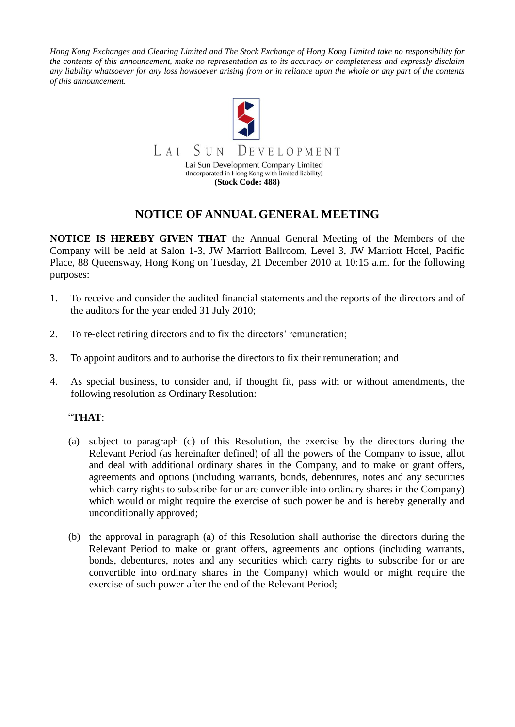*Hong Kong Exchanges and Clearing Limited and The Stock Exchange of Hong Kong Limited take no responsibility for the contents of this announcement, make no representation as to its accuracy or completeness and expressly disclaim any liability whatsoever for any loss howsoever arising from or in reliance upon the whole or any part of the contents of this announcement.*



## **NOTICE OF ANNUAL GENERAL MEETING**

**NOTICE IS HEREBY GIVEN THAT** the Annual General Meeting of the Members of the Company will be held at Salon 1-3, JW Marriott Ballroom, Level 3, JW Marriott Hotel, Pacific Place, 88 Queensway, Hong Kong on Tuesday, 21 December 2010 at 10:15 a.m. for the following purposes:

- 1. To receive and consider the audited financial statements and the reports of the directors and of the auditors for the year ended 31 July 2010;
- 2. To re-elect retiring directors and to fix the directors' remuneration;
- 3. To appoint auditors and to authorise the directors to fix their remuneration; and
- 4. As special business, to consider and, if thought fit, pass with or without amendments, the following resolution as Ordinary Resolution:

## "**THAT**:

- (a) subject to paragraph (c) of this Resolution, the exercise by the directors during the Relevant Period (as hereinafter defined) of all the powers of the Company to issue, allot and deal with additional ordinary shares in the Company, and to make or grant offers, agreements and options (including warrants, bonds, debentures, notes and any securities which carry rights to subscribe for or are convertible into ordinary shares in the Company) which would or might require the exercise of such power be and is hereby generally and unconditionally approved;
- (b) the approval in paragraph (a) of this Resolution shall authorise the directors during the Relevant Period to make or grant offers, agreements and options (including warrants, bonds, debentures, notes and any securities which carry rights to subscribe for or are convertible into ordinary shares in the Company) which would or might require the exercise of such power after the end of the Relevant Period;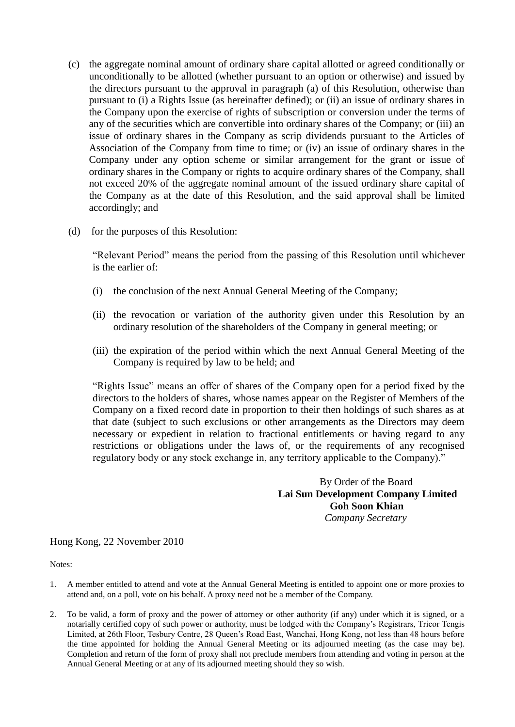- (c) the aggregate nominal amount of ordinary share capital allotted or agreed conditionally or unconditionally to be allotted (whether pursuant to an option or otherwise) and issued by the directors pursuant to the approval in paragraph (a) of this Resolution, otherwise than pursuant to (i) a Rights Issue (as hereinafter defined); or (ii) an issue of ordinary shares in the Company upon the exercise of rights of subscription or conversion under the terms of any of the securities which are convertible into ordinary shares of the Company; or (iii) an issue of ordinary shares in the Company as scrip dividends pursuant to the Articles of Association of the Company from time to time; or (iv) an issue of ordinary shares in the Company under any option scheme or similar arrangement for the grant or issue of ordinary shares in the Company or rights to acquire ordinary shares of the Company, shall not exceed 20% of the aggregate nominal amount of the issued ordinary share capital of the Company as at the date of this Resolution, and the said approval shall be limited accordingly; and
- (d) for the purposes of this Resolution:

"Relevant Period" means the period from the passing of this Resolution until whichever is the earlier of:

- (i) the conclusion of the next Annual General Meeting of the Company;
- (ii) the revocation or variation of the authority given under this Resolution by an ordinary resolution of the shareholders of the Company in general meeting; or
- (iii) the expiration of the period within which the next Annual General Meeting of the Company is required by law to be held; and

"Rights Issue" means an offer of shares of the Company open for a period fixed by the directors to the holders of shares, whose names appear on the Register of Members of the Company on a fixed record date in proportion to their then holdings of such shares as at that date (subject to such exclusions or other arrangements as the Directors may deem necessary or expedient in relation to fractional entitlements or having regard to any restrictions or obligations under the laws of, or the requirements of any recognised regulatory body or any stock exchange in, any territory applicable to the Company)."

> By Order of the Board **Lai Sun Development Company Limited Goh Soon Khian** *Company Secretary*

Hong Kong, 22 November 2010

Notes:

- 1. A member entitled to attend and vote at the Annual General Meeting is entitled to appoint one or more proxies to attend and, on a poll, vote on his behalf. A proxy need not be a member of the Company.
- 2. To be valid, a form of proxy and the power of attorney or other authority (if any) under which it is signed, or a notarially certified copy of such power or authority, must be lodged with the Company's Registrars, Tricor Tengis Limited, at 26th Floor, Tesbury Centre, 28 Queen's Road East, Wanchai, Hong Kong, not less than 48 hours before the time appointed for holding the Annual General Meeting or its adjourned meeting (as the case may be). Completion and return of the form of proxy shall not preclude members from attending and voting in person at the Annual General Meeting or at any of its adjourned meeting should they so wish.